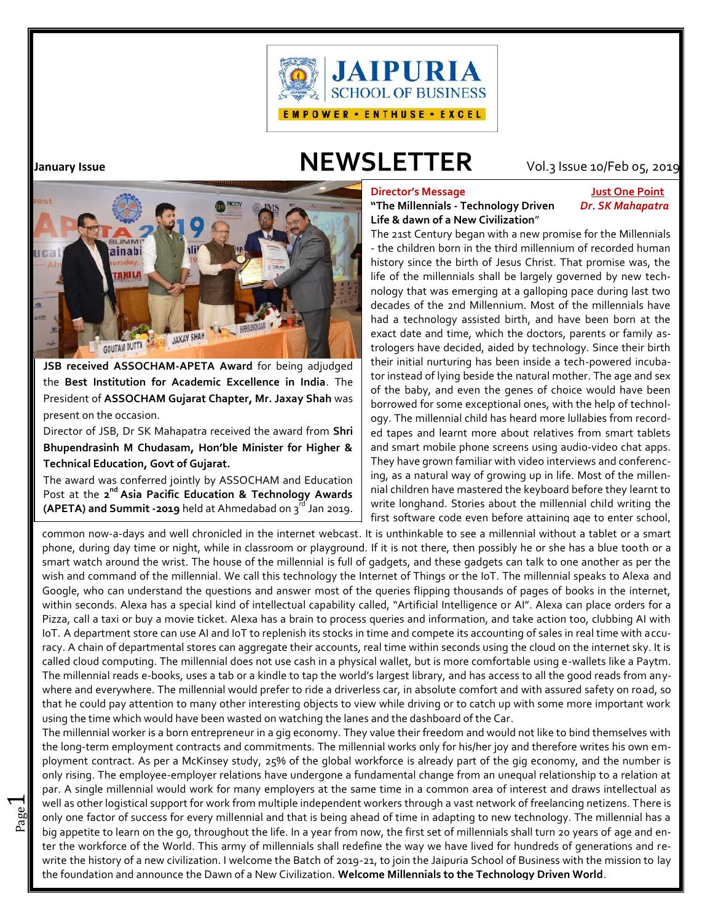

 $\overline{\phantom{0}}$ 

# **January Issue NEWSLETTER** Vol.3Issue 10/Feb 05, 2019



**JSB received ASSOCHAM-APETA Award** for being adjudged the **Best Institution for Academic Excellence in India**. The President of **ASSOCHAM Gujarat Chapter, Mr. Jaxay Shah** was present on the occasion.

Director of JSB, Dr SK Mahapatra received the award from **Shri Bhupendrasinh M Chudasam, Hon'ble Minister for Higher & Technical Education, Govt of Gujarat.**

The award was conferred jointly by ASSOCHAM and Education Post at the 2<sup>nd</sup> Asia Pacific Education & Technology Awards | <sup>nial</sup> **(APETA) and Summit -2019** held at Ahmedabad on 3<sup>rd</sup> Jan 2019.  $\begin{bmatrix} 9 \ 2 \end{bmatrix}$ 

# **Director's Message Just One Point**

# **"The Millennials - Technology Driven** *Dr. SK Mahapatra* **Life & dawn of a New Civilization**"

The 21st Century began with a new promise for the Millennials - the children born in the third millennium of recorded human history since the birth of Jesus Christ. That promise was, the life of the millennials shall be largely governed by new technology that was emerging at a galloping pace during last two decades of the 2nd Millennium. Most of the millennials have had a technology assisted birth, and have been born at the exact date and time, which the doctors, parents or family astrologers have decided, aided by technology. Since their birth their initial nurturing has been inside a tech-powered incubator instead of lying beside the natural mother. The age and sex of the baby, and even the genes of choice would have been borrowed for some exceptional ones, with the help of technology. The millennial child has heard more lullabies from recorded tapes and learnt more about relatives from smart tablets and smart mobile phone screens using audio-video chat apps. They have grown familiar with video interviews and conferencing, as a natural way of growing up in life. Most of the millennial children have mastered the keyboard before they learnt to write longhand. Stories about the millennial child writing the first software code even before attaining age to enter school,

common now-a-days and well chronicled in the internet webcast. It is unthinkable to see a millennial without a tablet or a smart  $\,\|\,$ The millennial reads e-books, uses a tab or a kindle to tap the world's largest library, and has access to all the good reads from any-  $\,\blacksquare$ where and everywhere. The millennial would prefer to ride a driverless car, in absolute comfort and with assured safety on road, so  $\; \|$ phone, during day time or night, while in classroom or playground. If it is not there, then possibly he or she has a blue tooth or a smart watch around the wrist. The house of the millennial is full of gadgets, and these gadgets can talk to one another as per the wish and command of the millennial. We call this technology the Internet of Things or the IoT. The millennial speaks to Alexa and Google, who can understand the questions and answer most of the queries flipping thousands of pages of books in the internet, within seconds. Alexa has a special kind of intellectual capability called, "Artificial Intelligence or AI". Alexa can place orders for a Pizza, call a taxi or buy a movie ticket. Alexa has a brain to process queries and information, and take action too, clubbing AI with IoT. A department store can use AI and IoT to replenish its stocks in time and compete its accounting of sales in real time with accuracy. A chain of departmental stores can aggregate their accounts, real time within seconds using the cloud on the internet sky. It is called cloud computing. The millennial does not use cash in a physical wallet, but is more comfortable using e-wallets like a Paytm. that he could pay attention to many other interesting objects to view while driving or to catch up with some more important work using the time which would have been wasted on watching the lanes and the dashboard of the Car.

only one factor of success for every millennial and that is being ahead of time in adapting to new technology. The millennial has a<br>But is appetite to loarn on the go, throughout the life. In a vear from now, the first set well as other logistical support for work from multiple independent workers through a vast network of freelancing netizens. There is  $\; \parallel$ The millennial worker is a born entrepreneur in a gig economy. They value their freedom and would not like to bind themselves with the long-term employment contracts and commitments. The millennial works only for his/her joy and therefore writes his own employment contract. As per a McKinsey study, 25% of the global workforce is already part of the gig economy, and the number is only rising. The employee-employer relations have undergone a fundamental change from an unequal relationship to a relation at par. A single millennial would work for many employers at the same time in a common area of interest and draws intellectual as big appetite to learn on the go, throughout the life. In a year from now, the first set of millennials shall turn 20 years of age and enter the workforce of the World. This army of millennials shall redefine the way we have lived for hundreds of generations and rewrite the history of a new civilization. I welcome the Batch of 2019-21, to join the Jaipuria School of Business with the mission to lay the foundation and announce the Dawn of a New Civilization. **Welcome Millennials to the Technology Driven World**.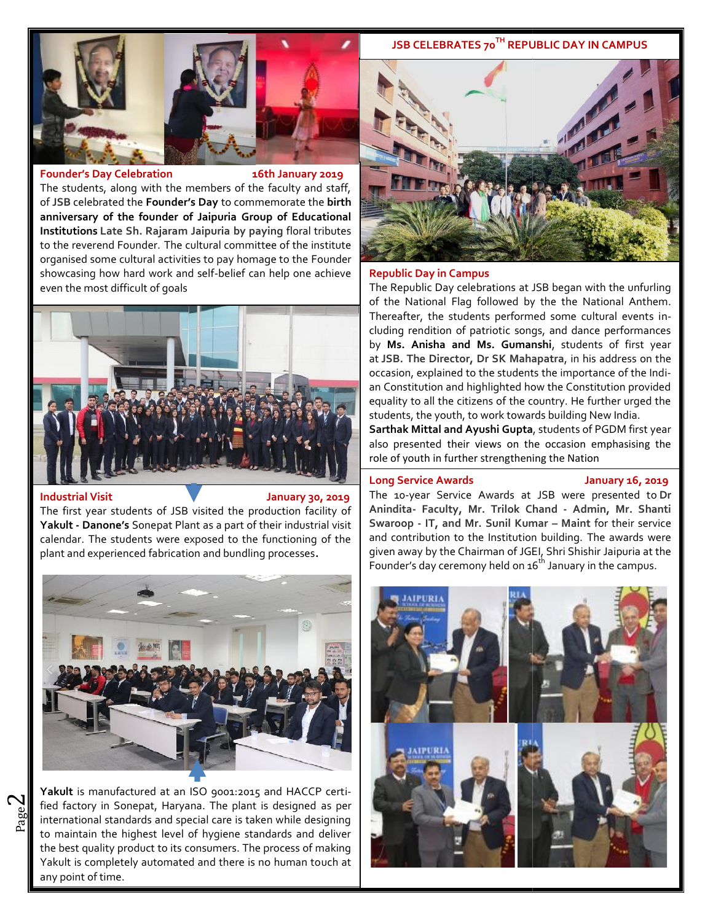# **JSB CELEBRATES 70TH REPUBLIC DAY IN CAMPUS**



### **Founder's Day Celebration 16th January 2019**

The students, along with the members of the faculty and staff, of **JSB** celebrated the **Founder's Day** to commemorate the **birth anniversary of the founder of Jaipuria Group of Educational Institutions Late Sh. Rajaram Jaipuria by paying** floral tributes to the reverend Founder. The cultural committee of the institute organised some cultural activities to pay homage to the Founder showcasing how hard work and self-belief can help one achieve even the most difficult of goals The students, along with the members of the faculty and staff,<br>of JSB celebrated the **Founder's Day** to commemorate the **birth**<br>anniversary of the founder of Jaipuria Group of Educational<br>Institutions Late Sh. Rajaram Jaip



### **Industrial Visit Victor Constraint Constraint Constraint Constraint Properties of the state of the state of the state of the state of the state of the state of the state of the state of the state of the state of the sta**

 $\mathbf{\sim}$ 

The first year students of JSB visited the production facility of  $\,$  |  $\,$  A $\,$ **Yakult - Danone's** Sonepat Plant as a part of their industrial visit **SV**<br>calendar. The students were exposed to the functioning of the an<br>plant and experienced fabrication and bundling processes. calendar. The students were exposed to the functioning of the plant and experienced fabrication and bundling processes**.**



and international standards and special care is taken while designing fied factory in Sonepat, Haryana. The plant is designed as per  $\|\cdot\|$ Yakult is manufactured at an ISO 9001:2015 and HACCP certito maintain the highest level of hygiene standards and deliver the best quality product to its consumers. The process of making Yakult is completely automated and there is no human touch at any point of time.



### **Republic Day in Campus**

The Republic Day celebrations at JSB began with the unfurling of the National Flag followed by the the National Anthem. Thereafter, the students performed some cultural events including rendition of patriotic songs, and dance performances by **Ms. Anisha and Ms. Gumanshi**, students of first year at **JSB. The Director, Dr SK Mahapatra**, in his address on the occasion, explained to the students the importance of the Indian Constitution and highlighted how the Constitution provided equality to all the citizens of the country. He further urged the students, the youth, to work towards building New India.

**Sarthak Mittal and Ayushi Gupta**, students of PGDM first year also presented their views on the occasion emphasising the role of youth in further strengthening the Nation

### **Long Service Awards January 16, 2019**

The 10-year Service Awards at JSB were presented to **Dr Anindita- Faculty, Mr. Trilok Chand - Admin, Mr. Shanti Swaroop - IT, and Mr. Sunil Kumar – Maint** for their service and contribution to the Institution building. The awards were given away by the Chairman of JGEI, Shri Shishir Jaipuria at the Founder's day ceremony held on  $16^{th}$  January in the campus.

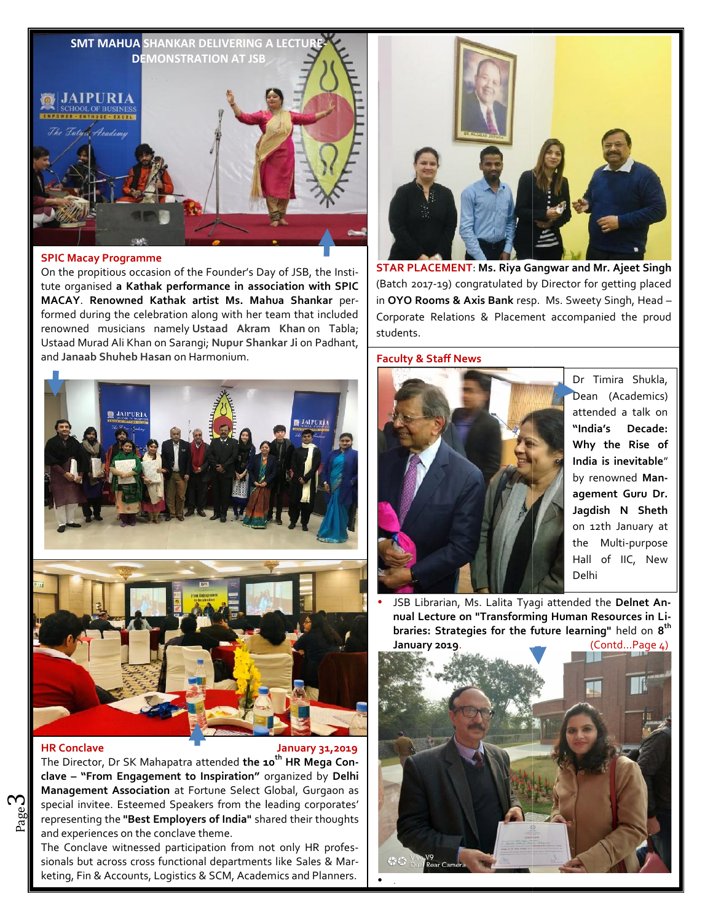

# **SPIC Macay Programme**

On the propitious occasion of the Founder's Day of JSB, the Institute organised **a Kathak performance in association with SPIC MACAY**. **Renowned Kathak artist Ms. Mahua Shankar** performed during the celebration along with her team that included renowned musicians namely **Ustaad Akram Khan** on Tabla; Ustaad Murad Ali Khan on Sarangi; Nupur Shankar Ji on Padhant, Lost and **Janaab Shuheb Hasan** on Harmonium.





# **HR Conclave**

ო

### **HR Conclave January 31,2019**

Page of the **"Best Employers of India"** shared their thoughts special invitee. Esteemed Speakers from the leading corporates' | The Director, Dr SK Mahapatra attended **the 10th HR Mega Conclave – "From Engagement to Inspiration"** organized by Delhi **Management Association** at Fortune Select Global, Gurgaon as and experiences on the conclave theme.

and experiences on the conclave theme.<br>The Conclave witnessed participation from not only HR professionals but across cross functional departments like Sales & Marketing, Fin & Accounts, Logistics & SCM, Academics and Planners.



**STAR PLACEMENT**: **Ms. Riya Gangwar and Mr. Ajeet Singh Riya** (Batch 2017-19) congratulated by Director for getting placed in **OYO Rooms & Axis Bank** resp. Ms. Sweety Singh, Head – Corporate Relations & Placement accompanied the proud students.

# **Faculty & Staff News**



Dr Timira Shukla, Dean (Academics) attended a talk on attended **"India's Decade: "India's Why the Rise of India is inevitable**" by renowned **Management Guru Dr. Jagdish N Sheth** on 12th January at  $\|\|$ the Multi-purpose Hall of IIC, New Delhi

**•** JSB Librarian, Ms. Lalita Tyagi attended the Delnet An**nual Lecture on "Transforming Human Resources in Libraries: Strategies for the future learning"** held on **8 th 8thJanuary 2019**. (Contd…Page 4) **January**